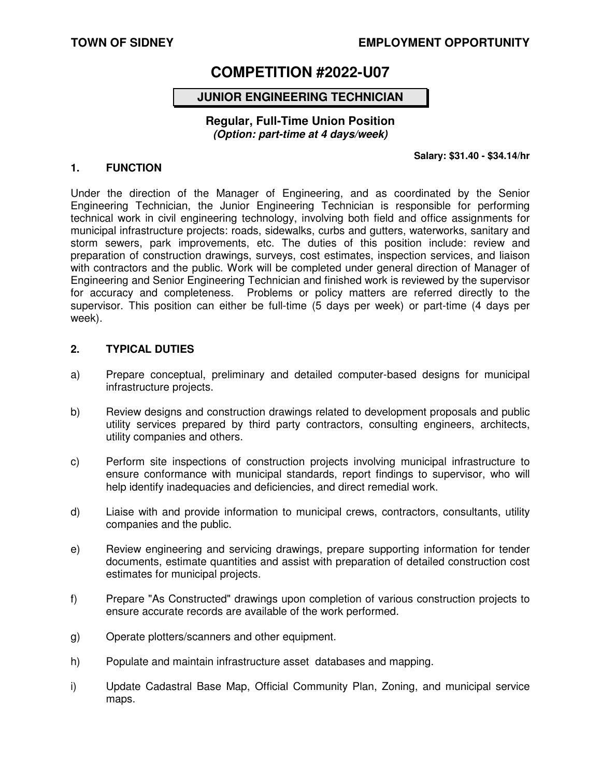# **TOWN OF SIDNEY EMPLOYMENT OPPORTUNITY**

# **COMPETITION #2022-U07**

# **JUNIOR ENGINEERING TECHNICIAN**

### **Regular, Full-Time Union Position (Option: part-time at 4 days/week)**

#### **Salary: \$31.40 - \$34.14/hr**

#### **1. FUNCTION**

Under the direction of the Manager of Engineering, and as coordinated by the Senior Engineering Technician, the Junior Engineering Technician is responsible for performing technical work in civil engineering technology, involving both field and office assignments for municipal infrastructure projects: roads, sidewalks, curbs and gutters, waterworks, sanitary and storm sewers, park improvements, etc. The duties of this position include: review and preparation of construction drawings, surveys, cost estimates, inspection services, and liaison with contractors and the public. Work will be completed under general direction of Manager of Engineering and Senior Engineering Technician and finished work is reviewed by the supervisor for accuracy and completeness. Problems or policy matters are referred directly to the supervisor. This position can either be full-time (5 days per week) or part-time (4 days per week).

#### **2. TYPICAL DUTIES**

- a) Prepare conceptual, preliminary and detailed computer-based designs for municipal infrastructure projects.
- b) Review designs and construction drawings related to development proposals and public utility services prepared by third party contractors, consulting engineers, architects, utility companies and others.
- c) Perform site inspections of construction projects involving municipal infrastructure to ensure conformance with municipal standards, report findings to supervisor, who will help identify inadequacies and deficiencies, and direct remedial work.
- d) Liaise with and provide information to municipal crews, contractors, consultants, utility companies and the public.
- e) Review engineering and servicing drawings, prepare supporting information for tender documents, estimate quantities and assist with preparation of detailed construction cost estimates for municipal projects.
- f) Prepare "As Constructed" drawings upon completion of various construction projects to ensure accurate records are available of the work performed.
- g) Operate plotters/scanners and other equipment.
- h) Populate and maintain infrastructure asset databases and mapping.
- i) Update Cadastral Base Map, Official Community Plan, Zoning, and municipal service maps.